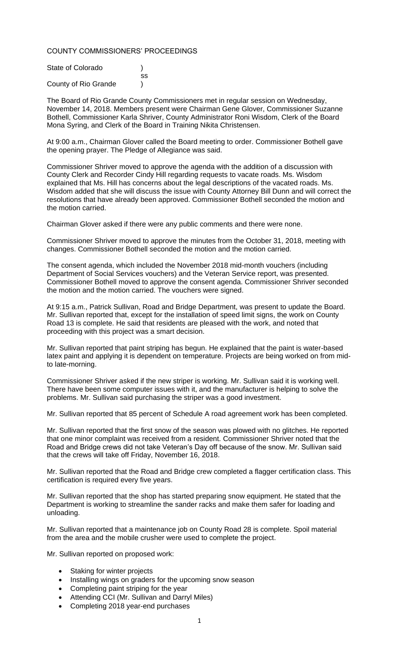### COUNTY COMMISSIONERS' PROCEEDINGS

| State of Colorado    |    |
|----------------------|----|
|                      | SS |
| County of Rio Grande |    |

The Board of Rio Grande County Commissioners met in regular session on Wednesday, November 14, 2018. Members present were Chairman Gene Glover, Commissioner Suzanne Bothell, Commissioner Karla Shriver, County Administrator Roni Wisdom, Clerk of the Board Mona Syring, and Clerk of the Board in Training Nikita Christensen.

At 9:00 a.m., Chairman Glover called the Board meeting to order. Commissioner Bothell gave the opening prayer. The Pledge of Allegiance was said.

Commissioner Shriver moved to approve the agenda with the addition of a discussion with County Clerk and Recorder Cindy Hill regarding requests to vacate roads. Ms. Wisdom explained that Ms. Hill has concerns about the legal descriptions of the vacated roads. Ms. Wisdom added that she will discuss the issue with County Attorney Bill Dunn and will correct the resolutions that have already been approved. Commissioner Bothell seconded the motion and the motion carried.

Chairman Glover asked if there were any public comments and there were none.

Commissioner Shriver moved to approve the minutes from the October 31, 2018, meeting with changes. Commissioner Bothell seconded the motion and the motion carried.

The consent agenda, which included the November 2018 mid-month vouchers (including Department of Social Services vouchers) and the Veteran Service report, was presented. Commissioner Bothell moved to approve the consent agenda. Commissioner Shriver seconded the motion and the motion carried. The vouchers were signed.

At 9:15 a.m., Patrick Sullivan, Road and Bridge Department, was present to update the Board. Mr. Sullivan reported that, except for the installation of speed limit signs, the work on County Road 13 is complete. He said that residents are pleased with the work, and noted that proceeding with this project was a smart decision.

Mr. Sullivan reported that paint striping has begun. He explained that the paint is water-based latex paint and applying it is dependent on temperature. Projects are being worked on from midto late-morning.

Commissioner Shriver asked if the new striper is working. Mr. Sullivan said it is working well. There have been some computer issues with it, and the manufacturer is helping to solve the problems. Mr. Sullivan said purchasing the striper was a good investment.

Mr. Sullivan reported that 85 percent of Schedule A road agreement work has been completed.

Mr. Sullivan reported that the first snow of the season was plowed with no glitches. He reported that one minor complaint was received from a resident. Commissioner Shriver noted that the Road and Bridge crews did not take Veteran's Day off because of the snow. Mr. Sullivan said that the crews will take off Friday, November 16, 2018.

Mr. Sullivan reported that the Road and Bridge crew completed a flagger certification class. This certification is required every five years.

Mr. Sullivan reported that the shop has started preparing snow equipment. He stated that the Department is working to streamline the sander racks and make them safer for loading and unloading.

Mr. Sullivan reported that a maintenance job on County Road 28 is complete. Spoil material from the area and the mobile crusher were used to complete the project.

Mr. Sullivan reported on proposed work:

- Staking for winter projects
- Installing wings on graders for the upcoming snow season
- Completing paint striping for the year
- Attending CCI (Mr. Sullivan and Darryl Miles)
- Completing 2018 year-end purchases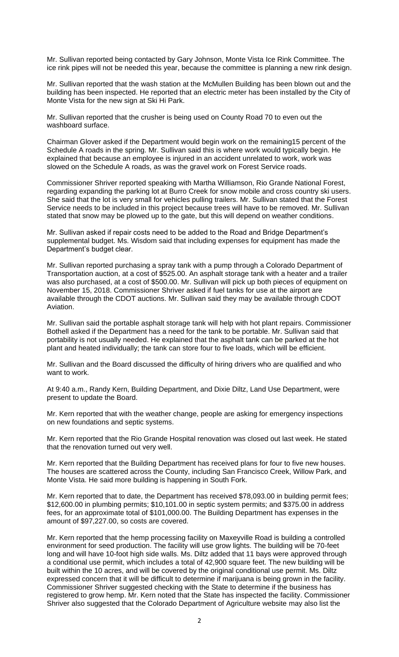Mr. Sullivan reported being contacted by Gary Johnson, Monte Vista Ice Rink Committee. The ice rink pipes will not be needed this year, because the committee is planning a new rink design.

Mr. Sullivan reported that the wash station at the McMullen Building has been blown out and the building has been inspected. He reported that an electric meter has been installed by the City of Monte Vista for the new sign at Ski Hi Park.

Mr. Sullivan reported that the crusher is being used on County Road 70 to even out the washboard surface.

Chairman Glover asked if the Department would begin work on the remaining15 percent of the Schedule A roads in the spring. Mr. Sullivan said this is where work would typically begin. He explained that because an employee is injured in an accident unrelated to work, work was slowed on the Schedule A roads, as was the gravel work on Forest Service roads.

Commissioner Shriver reported speaking with Martha Williamson, Rio Grande National Forest, regarding expanding the parking lot at Burro Creek for snow mobile and cross country ski users. She said that the lot is very small for vehicles pulling trailers. Mr. Sullivan stated that the Forest Service needs to be included in this project because trees will have to be removed. Mr. Sullivan stated that snow may be plowed up to the gate, but this will depend on weather conditions.

Mr. Sullivan asked if repair costs need to be added to the Road and Bridge Department's supplemental budget. Ms. Wisdom said that including expenses for equipment has made the Department's budget clear.

Mr. Sullivan reported purchasing a spray tank with a pump through a Colorado Department of Transportation auction, at a cost of \$525.00. An asphalt storage tank with a heater and a trailer was also purchased, at a cost of \$500.00. Mr. Sullivan will pick up both pieces of equipment on November 15, 2018. Commissioner Shriver asked if fuel tanks for use at the airport are available through the CDOT auctions. Mr. Sullivan said they may be available through CDOT Aviation.

Mr. Sullivan said the portable asphalt storage tank will help with hot plant repairs. Commissioner Bothell asked if the Department has a need for the tank to be portable. Mr. Sullivan said that portability is not usually needed. He explained that the asphalt tank can be parked at the hot plant and heated individually; the tank can store four to five loads, which will be efficient.

Mr. Sullivan and the Board discussed the difficulty of hiring drivers who are qualified and who want to work.

At 9:40 a.m., Randy Kern, Building Department, and Dixie Diltz, Land Use Department, were present to update the Board.

Mr. Kern reported that with the weather change, people are asking for emergency inspections on new foundations and septic systems.

Mr. Kern reported that the Rio Grande Hospital renovation was closed out last week. He stated that the renovation turned out very well.

Mr. Kern reported that the Building Department has received plans for four to five new houses. The houses are scattered across the County, including San Francisco Creek, Willow Park, and Monte Vista. He said more building is happening in South Fork.

Mr. Kern reported that to date, the Department has received \$78,093.00 in building permit fees; \$12,600.00 in plumbing permits; \$10,101.00 in septic system permits; and \$375.00 in address fees, for an approximate total of \$101,000.00. The Building Department has expenses in the amount of \$97,227.00, so costs are covered.

Mr. Kern reported that the hemp processing facility on Maxeyville Road is building a controlled environment for seed production. The facility will use grow lights. The building will be 70-feet long and will have 10-foot high side walls. Ms. Diltz added that 11 bays were approved through a conditional use permit, which includes a total of 42,900 square feet. The new building will be built within the 10 acres, and will be covered by the original conditional use permit. Ms. Diltz expressed concern that it will be difficult to determine if marijuana is being grown in the facility. Commissioner Shriver suggested checking with the State to determine if the business has registered to grow hemp. Mr. Kern noted that the State has inspected the facility. Commissioner Shriver also suggested that the Colorado Department of Agriculture website may also list the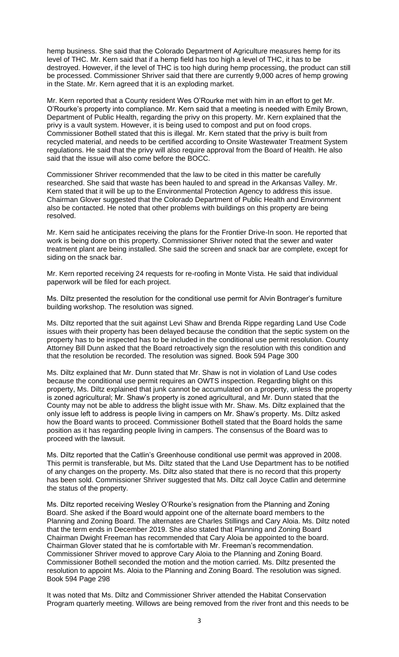hemp business. She said that the Colorado Department of Agriculture measures hemp for its level of THC. Mr. Kern said that if a hemp field has too high a level of THC, it has to be destroyed. However, if the level of THC is too high during hemp processing, the product can still be processed. Commissioner Shriver said that there are currently 9,000 acres of hemp growing in the State. Mr. Kern agreed that it is an exploding market.

Mr. Kern reported that a County resident Wes O'Rourke met with him in an effort to get Mr. O'Rourke's property into compliance. Mr. Kern said that a meeting is needed with Emily Brown, Department of Public Health, regarding the privy on this property. Mr. Kern explained that the privy is a vault system. However, it is being used to compost and put on food crops. Commissioner Bothell stated that this is illegal. Mr. Kern stated that the privy is built from recycled material, and needs to be certified according to Onsite Wastewater Treatment System regulations. He said that the privy will also require approval from the Board of Health. He also said that the issue will also come before the BOCC.

Commissioner Shriver recommended that the law to be cited in this matter be carefully researched. She said that waste has been hauled to and spread in the Arkansas Valley. Mr. Kern stated that it will be up to the Environmental Protection Agency to address this issue. Chairman Glover suggested that the Colorado Department of Public Health and Environment also be contacted. He noted that other problems with buildings on this property are being resolved.

Mr. Kern said he anticipates receiving the plans for the Frontier Drive-In soon. He reported that work is being done on this property. Commissioner Shriver noted that the sewer and water treatment plant are being installed. She said the screen and snack bar are complete, except for siding on the snack bar.

Mr. Kern reported receiving 24 requests for re-roofing in Monte Vista. He said that individual paperwork will be filed for each project.

Ms. Diltz presented the resolution for the conditional use permit for Alvin Bontrager's furniture building workshop. The resolution was signed.

Ms. Diltz reported that the suit against Levi Shaw and Brenda Rippe regarding Land Use Code issues with their property has been delayed because the condition that the septic system on the property has to be inspected has to be included in the conditional use permit resolution. County Attorney Bill Dunn asked that the Board retroactively sign the resolution with this condition and that the resolution be recorded. The resolution was signed. Book 594 Page 300

Ms. Diltz explained that Mr. Dunn stated that Mr. Shaw is not in violation of Land Use codes because the conditional use permit requires an OWTS inspection. Regarding blight on this property, Ms. Diltz explained that junk cannot be accumulated on a property, unless the property is zoned agricultural; Mr. Shaw's property is zoned agricultural, and Mr. Dunn stated that the County may not be able to address the blight issue with Mr. Shaw. Ms. Diltz explained that the only issue left to address is people living in campers on Mr. Shaw's property. Ms. Diltz asked how the Board wants to proceed. Commissioner Bothell stated that the Board holds the same position as it has regarding people living in campers. The consensus of the Board was to proceed with the lawsuit.

Ms. Diltz reported that the Catlin's Greenhouse conditional use permit was approved in 2008. This permit is transferable, but Ms. Diltz stated that the Land Use Department has to be notified of any changes on the property. Ms. Diltz also stated that there is no record that this property has been sold. Commissioner Shriver suggested that Ms. Diltz call Joyce Catlin and determine the status of the property.

Ms. Diltz reported receiving Wesley O'Rourke's resignation from the Planning and Zoning Board. She asked if the Board would appoint one of the alternate board members to the Planning and Zoning Board. The alternates are Charles Stillings and Cary Aloia. Ms. Diltz noted that the term ends in December 2019. She also stated that Planning and Zoning Board Chairman Dwight Freeman has recommended that Cary Aloia be appointed to the board. Chairman Glover stated that he is comfortable with Mr. Freeman's recommendation. Commissioner Shriver moved to approve Cary Aloia to the Planning and Zoning Board. Commissioner Bothell seconded the motion and the motion carried. Ms. Diltz presented the resolution to appoint Ms. Aloia to the Planning and Zoning Board. The resolution was signed. Book 594 Page 298

It was noted that Ms. Diltz and Commissioner Shriver attended the Habitat Conservation Program quarterly meeting. Willows are being removed from the river front and this needs to be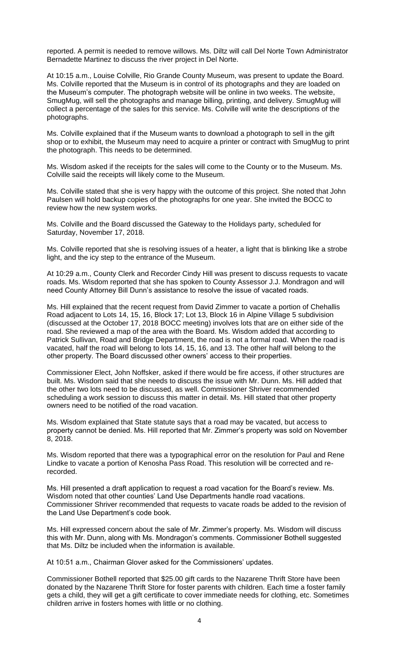reported. A permit is needed to remove willows. Ms. Diltz will call Del Norte Town Administrator Bernadette Martinez to discuss the river project in Del Norte.

At 10:15 a.m., Louise Colville, Rio Grande County Museum, was present to update the Board. Ms. Colville reported that the Museum is in control of its photographs and they are loaded on the Museum's computer. The photograph website will be online in two weeks. The website, SmugMug, will sell the photographs and manage billing, printing, and delivery. SmugMug will collect a percentage of the sales for this service. Ms. Colville will write the descriptions of the photographs.

Ms. Colville explained that if the Museum wants to download a photograph to sell in the gift shop or to exhibit, the Museum may need to acquire a printer or contract with SmugMug to print the photograph. This needs to be determined.

Ms. Wisdom asked if the receipts for the sales will come to the County or to the Museum. Ms. Colville said the receipts will likely come to the Museum.

Ms. Colville stated that she is very happy with the outcome of this project. She noted that John Paulsen will hold backup copies of the photographs for one year. She invited the BOCC to review how the new system works.

Ms. Colville and the Board discussed the Gateway to the Holidays party, scheduled for Saturday, November 17, 2018.

Ms. Colville reported that she is resolving issues of a heater, a light that is blinking like a strobe light, and the icy step to the entrance of the Museum.

At 10:29 a.m., County Clerk and Recorder Cindy Hill was present to discuss requests to vacate roads. Ms. Wisdom reported that she has spoken to County Assessor J.J. Mondragon and will need County Attorney Bill Dunn's assistance to resolve the issue of vacated roads.

Ms. Hill explained that the recent request from David Zimmer to vacate a portion of Chehallis Road adjacent to Lots 14, 15, 16, Block 17; Lot 13, Block 16 in Alpine Village 5 subdivision (discussed at the October 17, 2018 BOCC meeting) involves lots that are on either side of the road. She reviewed a map of the area with the Board. Ms. Wisdom added that according to Patrick Sullivan, Road and Bridge Department, the road is not a formal road. When the road is vacated, half the road will belong to lots 14, 15, 16, and 13. The other half will belong to the other property. The Board discussed other owners' access to their properties.

Commissioner Elect, John Noffsker, asked if there would be fire access, if other structures are built. Ms. Wisdom said that she needs to discuss the issue with Mr. Dunn. Ms. Hill added that the other two lots need to be discussed, as well. Commissioner Shriver recommended scheduling a work session to discuss this matter in detail. Ms. Hill stated that other property owners need to be notified of the road vacation.

Ms. Wisdom explained that State statute says that a road may be vacated, but access to property cannot be denied. Ms. Hill reported that Mr. Zimmer's property was sold on November 8, 2018.

Ms. Wisdom reported that there was a typographical error on the resolution for Paul and Rene Lindke to vacate a portion of Kenosha Pass Road. This resolution will be corrected and rerecorded.

Ms. Hill presented a draft application to request a road vacation for the Board's review. Ms. Wisdom noted that other counties' Land Use Departments handle road vacations. Commissioner Shriver recommended that requests to vacate roads be added to the revision of the Land Use Department's code book.

Ms. Hill expressed concern about the sale of Mr. Zimmer's property. Ms. Wisdom will discuss this with Mr. Dunn, along with Ms. Mondragon's comments. Commissioner Bothell suggested that Ms. Diltz be included when the information is available.

At 10:51 a.m., Chairman Glover asked for the Commissioners' updates.

Commissioner Bothell reported that \$25.00 gift cards to the Nazarene Thrift Store have been donated by the Nazarene Thrift Store for foster parents with children. Each time a foster family gets a child, they will get a gift certificate to cover immediate needs for clothing, etc. Sometimes children arrive in fosters homes with little or no clothing.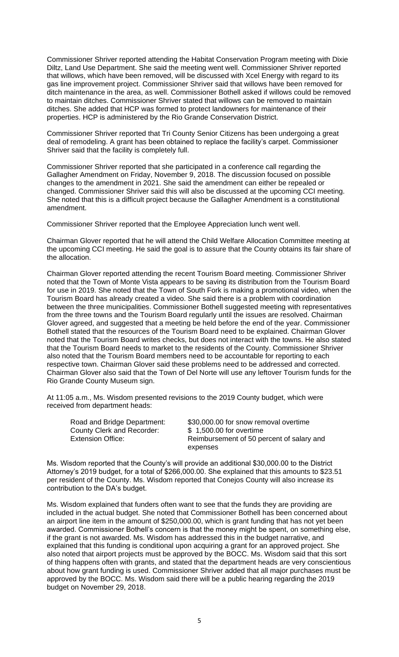Commissioner Shriver reported attending the Habitat Conservation Program meeting with Dixie Diltz, Land Use Department. She said the meeting went well. Commissioner Shriver reported that willows, which have been removed, will be discussed with Xcel Energy with regard to its gas line improvement project. Commissioner Shriver said that willows have been removed for ditch maintenance in the area, as well. Commissioner Bothell asked if willows could be removed to maintain ditches. Commissioner Shriver stated that willows can be removed to maintain ditches. She added that HCP was formed to protect landowners for maintenance of their properties. HCP is administered by the Rio Grande Conservation District.

Commissioner Shriver reported that Tri County Senior Citizens has been undergoing a great deal of remodeling. A grant has been obtained to replace the facility's carpet. Commissioner Shriver said that the facility is completely full.

Commissioner Shriver reported that she participated in a conference call regarding the Gallagher Amendment on Friday, November 9, 2018. The discussion focused on possible changes to the amendment in 2021. She said the amendment can either be repealed or changed. Commissioner Shriver said this will also be discussed at the upcoming CCI meeting. She noted that this is a difficult project because the Gallagher Amendment is a constitutional amendment.

Commissioner Shriver reported that the Employee Appreciation lunch went well.

Chairman Glover reported that he will attend the Child Welfare Allocation Committee meeting at the upcoming CCI meeting. He said the goal is to assure that the County obtains its fair share of the allocation.

Chairman Glover reported attending the recent Tourism Board meeting. Commissioner Shriver noted that the Town of Monte Vista appears to be saving its distribution from the Tourism Board for use in 2019. She noted that the Town of South Fork is making a promotional video, when the Tourism Board has already created a video. She said there is a problem with coordination between the three municipalities. Commissioner Bothell suggested meeting with representatives from the three towns and the Tourism Board regularly until the issues are resolved. Chairman Glover agreed, and suggested that a meeting be held before the end of the year. Commissioner Bothell stated that the resources of the Tourism Board need to be explained. Chairman Glover noted that the Tourism Board writes checks, but does not interact with the towns. He also stated that the Tourism Board needs to market to the residents of the County. Commissioner Shriver also noted that the Tourism Board members need to be accountable for reporting to each respective town. Chairman Glover said these problems need to be addressed and corrected. Chairman Glover also said that the Town of Del Norte will use any leftover Tourism funds for the Rio Grande County Museum sign.

At 11:05 a.m., Ms. Wisdom presented revisions to the 2019 County budget, which were received from department heads:

| Road and Bridge Department:<br>County Clerk and Recorder: | \$30,000.00 for snow removal overtime<br>\$1,500.00 for overtime |
|-----------------------------------------------------------|------------------------------------------------------------------|
| <b>Extension Office:</b>                                  | Reimbursement of 50 percent of salary and                        |
|                                                           | expenses                                                         |

Ms. Wisdom reported that the County's will provide an additional \$30,000.00 to the District Attorney's 2019 budget, for a total of \$266,000.00. She explained that this amounts to \$23.51 per resident of the County. Ms. Wisdom reported that Conejos County will also increase its contribution to the DA's budget.

Ms. Wisdom explained that funders often want to see that the funds they are providing are included in the actual budget. She noted that Commissioner Bothell has been concerned about an airport line item in the amount of \$250,000.00, which is grant funding that has not yet been awarded. Commissioner Bothell's concern is that the money might be spent, on something else, if the grant is not awarded. Ms. Wisdom has addressed this in the budget narrative, and explained that this funding is conditional upon acquiring a grant for an approved project. She also noted that airport projects must be approved by the BOCC. Ms. Wisdom said that this sort of thing happens often with grants, and stated that the department heads are very conscientious about how grant funding is used. Commissioner Shriver added that all major purchases must be approved by the BOCC. Ms. Wisdom said there will be a public hearing regarding the 2019 budget on November 29, 2018.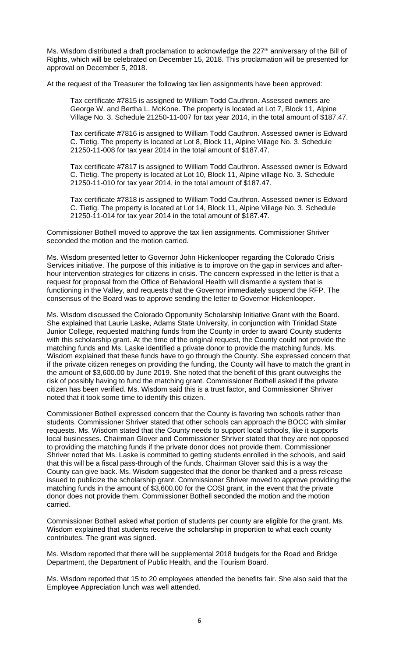Ms. Wisdom distributed a draft proclamation to acknowledge the  $227<sup>th</sup>$  anniversary of the Bill of Rights, which will be celebrated on December 15, 2018. This proclamation will be presented for approval on December 5, 2018.

At the request of the Treasurer the following tax lien assignments have been approved:

Tax certificate #7815 is assigned to William Todd Cauthron. Assessed owners are George W. and Bertha L. McKone. The property is located at Lot 7, Block 11, Alpine Village No. 3. Schedule 21250-11-007 for tax year 2014, in the total amount of \$187.47.

Tax certificate #7816 is assigned to William Todd Cauthron. Assessed owner is Edward C. Tietig. The property is located at Lot 8, Block 11, Alpine Village No. 3. Schedule 21250-11-008 for tax year 2014 in the total amount of \$187.47.

Tax certificate #7817 is assigned to William Todd Cauthron. Assessed owner is Edward C. Tietig. The property is located at Lot 10, Block 11, Alpine village No. 3. Schedule 21250-11-010 for tax year 2014, in the total amount of \$187.47.

Tax certificate #7818 is assigned to William Todd Cauthron. Assessed owner is Edward C. Tietig. The property is located at Lot 14, Block 11, Alpine Village No. 3. Schedule 21250-11-014 for tax year 2014 in the total amount of \$187.47.

Commissioner Bothell moved to approve the tax lien assignments. Commissioner Shriver seconded the motion and the motion carried.

Ms. Wisdom presented letter to Governor John Hickenlooper regarding the Colorado Crisis Services initiative. The purpose of this initiative is to improve on the gap in services and afterhour intervention strategies for citizens in crisis. The concern expressed in the letter is that a request for proposal from the Office of Behavioral Health will dismantle a system that is functioning in the Valley, and requests that the Governor immediately suspend the RFP. The consensus of the Board was to approve sending the letter to Governor Hickenlooper.

Ms. Wisdom discussed the Colorado Opportunity Scholarship Initiative Grant with the Board. She explained that Laurie Laske, Adams State University, in conjunction with Trinidad State Junior College, requested matching funds from the County in order to award County students with this scholarship grant. At the time of the original request, the County could not provide the matching funds and Ms. Laske identified a private donor to provide the matching funds. Ms. Wisdom explained that these funds have to go through the County. She expressed concern that if the private citizen reneges on providing the funding, the County will have to match the grant in the amount of \$3,600.00 by June 2019. She noted that the benefit of this grant outweighs the risk of possibly having to fund the matching grant. Commissioner Bothell asked if the private citizen has been verified. Ms. Wisdom said this is a trust factor, and Commissioner Shriver noted that it took some time to identify this citizen.

Commissioner Bothell expressed concern that the County is favoring two schools rather than students. Commissioner Shriver stated that other schools can approach the BOCC with similar requests. Ms. Wisdom stated that the County needs to support local schools, like it supports local businesses. Chairman Glover and Commissioner Shriver stated that they are not opposed to providing the matching funds if the private donor does not provide them. Commissioner Shriver noted that Ms. Laske is committed to getting students enrolled in the schools, and said that this will be a fiscal pass-through of the funds. Chairman Glover said this is a way the County can give back. Ms. Wisdom suggested that the donor be thanked and a press release issued to publicize the scholarship grant. Commissioner Shriver moved to approve providing the matching funds in the amount of \$3,600.00 for the COSI grant, in the event that the private donor does not provide them. Commissioner Bothell seconded the motion and the motion carried.

Commissioner Bothell asked what portion of students per county are eligible for the grant. Ms. Wisdom explained that students receive the scholarship in proportion to what each county contributes. The grant was signed.

Ms. Wisdom reported that there will be supplemental 2018 budgets for the Road and Bridge Department, the Department of Public Health, and the Tourism Board.

Ms. Wisdom reported that 15 to 20 employees attended the benefits fair. She also said that the Employee Appreciation lunch was well attended.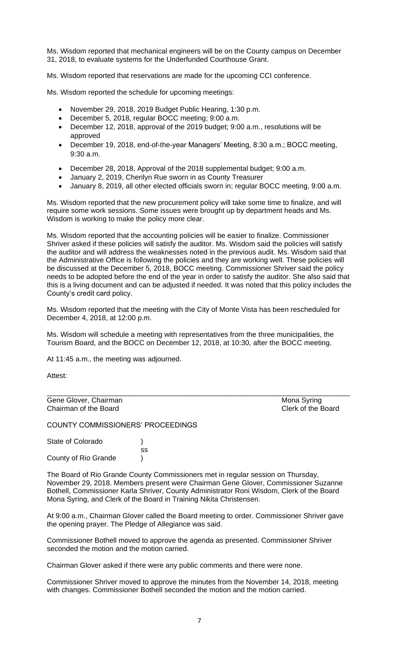Ms. Wisdom reported that mechanical engineers will be on the County campus on December 31, 2018, to evaluate systems for the Underfunded Courthouse Grant.

Ms. Wisdom reported that reservations are made for the upcoming CCI conference.

Ms. Wisdom reported the schedule for upcoming meetings:

- November 29, 2018, 2019 Budget Public Hearing, 1:30 p.m.
- December 5, 2018, regular BOCC meeting; 9:00 a.m.
- December 12, 2018, approval of the 2019 budget; 9:00 a.m., resolutions will be approved
- December 19, 2018, end-of-the-year Managers' Meeting, 8:30 a.m.; BOCC meeting, 9:30 a.m.
- December 28, 2018, Approval of the 2018 supplemental budget; 9:00 a.m.
- January 2, 2019, Cherilyn Rue sworn in as County Treasurer
- January 8, 2019, all other elected officials sworn in; regular BOCC meeting, 9:00 a.m.

Ms. Wisdom reported that the new procurement policy will take some time to finalize, and will require some work sessions. Some issues were brought up by department heads and Ms. Wisdom is working to make the policy more clear.

Ms. Wisdom reported that the accounting policies will be easier to finalize. Commissioner Shriver asked if these policies will satisfy the auditor. Ms. Wisdom said the policies will satisfy the auditor and will address the weaknesses noted in the previous audit. Ms. Wisdom said that the Administrative Office is following the policies and they are working well. These policies will be discussed at the December 5, 2018, BOCC meeting. Commissioner Shriver said the policy needs to be adopted before the end of the year in order to satisfy the auditor. She also said that this is a living document and can be adjusted if needed. It was noted that this policy includes the County's credit card policy.

Ms. Wisdom reported that the meeting with the City of Monte Vista has been rescheduled for December 4, 2018, at 12:00 p.m.

Ms. Wisdom will schedule a meeting with representatives from the three municipalities, the Tourism Board, and the BOCC on December 12, 2018, at 10:30, after the BOCC meeting.

At 11:45 a.m., the meeting was adjourned.

Attest:

Gene Glover, Chairman Mona Syring<br>
Chairman of the Board<br>
Clerk of the Board Chairman of the Board

COUNTY COMMISSIONERS' PROCEEDINGS

State of Colorado (a) ss County of Rio Grande )

The Board of Rio Grande County Commissioners met in regular session on Thursday, November 29, 2018. Members present were Chairman Gene Glover, Commissioner Suzanne Bothell, Commissioner Karla Shriver, County Administrator Roni Wisdom, Clerk of the Board Mona Syring, and Clerk of the Board in Training Nikita Christensen.

At 9:00 a.m., Chairman Glover called the Board meeting to order. Commissioner Shriver gave the opening prayer. The Pledge of Allegiance was said.

Commissioner Bothell moved to approve the agenda as presented. Commissioner Shriver seconded the motion and the motion carried.

Chairman Glover asked if there were any public comments and there were none.

Commissioner Shriver moved to approve the minutes from the November 14, 2018, meeting with changes. Commissioner Bothell seconded the motion and the motion carried.

7

\_\_\_\_\_\_\_\_\_\_\_\_\_\_\_\_\_\_\_\_\_\_\_\_\_\_\_\_\_\_\_\_\_\_\_\_\_\_\_\_\_\_\_\_\_\_\_\_\_\_\_\_\_\_\_\_\_\_\_\_\_\_\_\_\_\_\_\_\_\_\_\_\_\_\_\_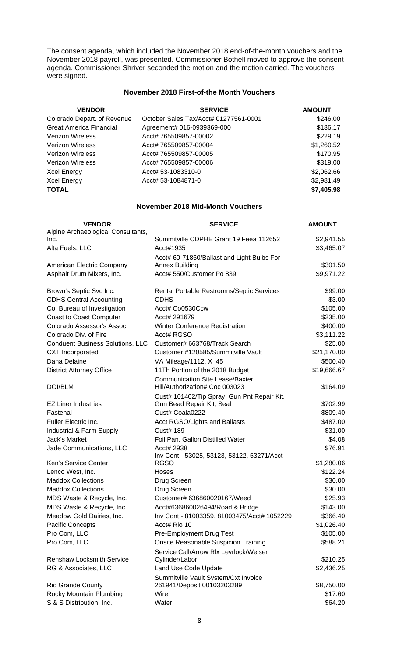The consent agenda, which included the November 2018 end-of-the-month vouchers and the November 2018 payroll, was presented. Commissioner Bothell moved to approve the consent agenda. Commissioner Shriver seconded the motion and the motion carried. The vouchers were signed.

## **November 2018 First-of-the Month Vouchers**

| <b>VENDOR</b>               | <b>SERVICE</b>                        | <b>AMOUNT</b> |
|-----------------------------|---------------------------------------|---------------|
| Colorado Depart. of Revenue | October Sales Tax/Acct# 01277561-0001 | \$246.00      |
| Great America Financial     | Agreement# 016-0939369-000            | \$136.17      |
| Verizon Wireless            | Acct# 765509857-00002                 | \$229.19      |
| Verizon Wireless            | Acct# 765509857-00004                 | \$1,260.52    |
| Verizon Wireless            | Acct# 765509857-00005                 | \$170.95      |
| Verizon Wireless            | Acct# 765509857-00006                 | \$319.00      |
| Xcel Energy                 | Acct# 53-1083310-0                    | \$2,062.66    |
| Xcel Energy                 | Acct# 53-1084871-0                    | \$2,981.49    |
| TOTAL                       |                                       | \$7,405.98    |

#### **November 2018 Mid-Month Vouchers**

| <b>VENDOR</b>                              | <b>SERVICE</b>                                                           | <b>AMOUNT</b> |
|--------------------------------------------|--------------------------------------------------------------------------|---------------|
| Alpine Archaeological Consultants,<br>Inc. | Summitville CDPHE Grant 19 Feea 112652                                   | \$2,941.55    |
| Alta Fuels, LLC                            | Acct#1935                                                                | \$3,465.07    |
|                                            | Acct# 60-71860/Ballast and Light Bulbs For                               |               |
| American Electric Company                  | <b>Annex Building</b>                                                    | \$301.50      |
| Asphalt Drum Mixers, Inc.                  | Acct# 550/Customer Po 839                                                | \$9,971.22    |
| Brown's Septic Svc Inc.                    | Rental Portable Restrooms/Septic Services                                | \$99.00       |
| <b>CDHS Central Accounting</b>             | <b>CDHS</b>                                                              | \$3.00        |
| Co. Bureau of Investigation                | Acct# Co0530Ccw                                                          | \$105.00      |
| <b>Coast to Coast Computer</b>             | Acct# 291679                                                             | \$235.00      |
| Colorado Assessor's Assoc                  | Winter Conference Registration                                           | \$400.00      |
| Colorado Div. of Fire                      | Acct# RGSO                                                               | \$3,111.22    |
| <b>Conduent Business Solutions, LLC</b>    | Customer# 663768/Track Search                                            | \$25.00       |
| <b>CXT</b> Incorporated                    | Customer #120585/Summitville Vault                                       | \$21,170.00   |
| Dana Delaine                               | VA Mileage/1112. X.45                                                    | \$500.40      |
| <b>District Attorney Office</b>            | 11Th Portion of the 2018 Budget                                          | \$19,666.67   |
| <b>DOI/BLM</b>                             | <b>Communication Site Lease/Baxter</b><br>Hill/Authorization# Coc 003023 | \$164.09      |
|                                            | Cust# 101402/Tip Spray, Gun Pnt Repair Kit,                              |               |
| <b>EZ Liner Industries</b>                 | Gun Bead Repair Kit, Seal                                                | \$702.99      |
| Fastenal                                   | Cust# Coala0222                                                          | \$809.40      |
| Fuller Electric Inc.                       | Acct RGSO/Lights and Ballasts                                            | \$487.00      |
| Industrial & Farm Supply                   | <b>Cust# 189</b>                                                         | \$31.00       |
| Jack's Market                              | Foil Pan, Gallon Distilled Water                                         | \$4.08        |
| Jade Communications, LLC                   | Acct# 2938                                                               | \$76.91       |
| Ken's Service Center                       | Inv Cont - 53025, 53123, 53122, 53271/Acct<br><b>RGSO</b>                | \$1,280.06    |
| Lenco West, Inc.                           | Hoses                                                                    | \$122.24      |
| <b>Maddox Collections</b>                  | Drug Screen                                                              | \$30.00       |
| <b>Maddox Collections</b>                  | Drug Screen                                                              | \$30.00       |
| MDS Waste & Recycle, Inc.                  | Customer# 636860020167/Weed                                              | \$25.93       |
| MDS Waste & Recycle, Inc.                  | Acct#636860026494/Road & Bridge                                          | \$143.00      |
| Meadow Gold Dairies, Inc.                  | Inv Cont - 81003359, 81003475/Acct# 1052229                              | \$366.40      |
| Pacific Concepts                           | Acct# Rio 10                                                             | \$1,026.40    |
| Pro Com, LLC                               | Pre-Employment Drug Test                                                 | \$105.00      |
| Pro Com, LLC                               | Onsite Reasonable Suspicion Training                                     | \$588.21      |
|                                            | Service Call/Arrow Rlx Levrlock/Weiser                                   |               |
| <b>Renshaw Locksmith Service</b>           | Cylinder/Labor                                                           | \$210.25      |
| RG & Associates, LLC                       | Land Use Code Update                                                     | \$2,436.25    |
|                                            | Summitville Vault System/Cxt Invoice                                     |               |
| <b>Rio Grande County</b>                   | 261941/Deposit 00103203289                                               | \$8,750.00    |
| Rocky Mountain Plumbing                    | Wire                                                                     | \$17.60       |
| S & S Distribution, Inc.                   | Water                                                                    | \$64.20       |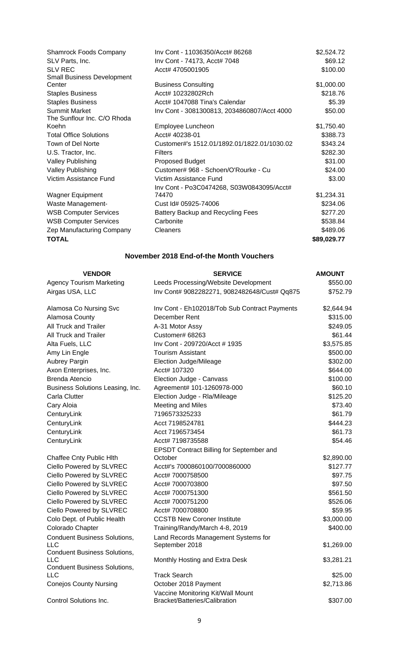| Inv Cont - 74173, Acct# 7048<br>SLV Parts, Inc.                     | \$69.12     |
|---------------------------------------------------------------------|-------------|
| <b>SLV REC</b><br>Acct# 4705001905                                  | \$100.00    |
| <b>Small Business Development</b>                                   |             |
| <b>Business Consulting</b><br>Center                                | \$1,000.00  |
| <b>Staples Business</b><br>Acct# 10232802Rch                        | \$218.76    |
| <b>Staples Business</b><br>Acct# 1047088 Tina's Calendar            | \$5.39      |
| <b>Summit Market</b><br>Inv Cont - 3081300813, 2034860807/Acct 4000 | \$50.00     |
| The Sunflour Inc. C/O Rhoda                                         |             |
| Employee Luncheon<br>Koehn                                          | \$1,750.40  |
| <b>Total Office Solutions</b><br>Acct# 40238-01                     | \$388.73    |
| Town of Del Norte<br>Customer#'s 1512.01/1892.01/1822.01/1030.02    | \$343.24    |
| <b>Filters</b><br>U.S. Tractor, Inc.                                | \$282.30    |
| <b>Valley Publishing</b><br>Proposed Budget                         | \$31.00     |
| <b>Valley Publishing</b><br>Customer# 968 - Schoen/O'Rourke - Cu    | \$24.00     |
| Victim Assistance Fund<br>Victim Assistance Fund                    | \$3.00      |
| Inv Cont - Po3C0474268, S03W0843095/Acct#                           |             |
| <b>Wagner Equipment</b><br>74470                                    | \$1,234.31  |
| Waste Management-<br>Cust Id# 05925-74006                           | \$234.06    |
| <b>WSB Computer Services</b><br>Battery Backup and Recycling Fees   | \$277.20    |
| <b>WSB Computer Services</b><br>Carbonite                           | \$538.84    |
| Zep Manufacturing Company<br><b>Cleaners</b>                        | \$489.06    |
| <b>TOTAL</b>                                                        | \$89,029.77 |

# **November 2018 End-of-the Month Vouchers**

| <b>VENDOR</b>                              | <b>SERVICE</b>                                        | <b>AMOUNT</b> |
|--------------------------------------------|-------------------------------------------------------|---------------|
| <b>Agency Tourism Marketing</b>            | Leeds Processing/Website Development                  | \$550.00      |
| Airgas USA, LLC                            | Inv Cont# 9082282271, 9082482648/Cust# Qq875          | \$752.79      |
| Alamosa Co Nursing Svc                     | Inv Cont - Eh102018/Tob Sub Contract Payments         | \$2,644.94    |
| Alamosa County                             | December Rent                                         | \$315.00      |
| All Truck and Trailer                      | A-31 Motor Assy                                       | \$249.05      |
| All Truck and Trailer                      | Customer# 68263                                       | \$61.44       |
| Alta Fuels, LLC                            | Inv Cont - 209720/Acct # 1935                         | \$3,575.85    |
| Amy Lin Engle                              | <b>Tourism Assistant</b>                              | \$500.00      |
| Aubrey Pargin                              | Election Judge/Mileage                                | \$302.00      |
| Axon Enterprises, Inc.                     | Acct# 107320                                          | \$644.00      |
| <b>Brenda Atencio</b>                      | Election Judge - Canvass                              | \$100.00      |
| Business Solutions Leasing, Inc.           | Agreement# 101-1260978-000                            | \$60.10       |
| Carla Clutter                              | Election Judge - Rla/Mileage                          | \$125.20      |
| Cary Aloia                                 | Meeting and Miles                                     | \$73.40       |
| CenturyLink                                | 7196573325233                                         | \$61.79       |
| CenturyLink                                | Acct 7198524781                                       | \$444.23      |
| CenturyLink                                | Acct 7196573454                                       | \$61.73       |
| CenturyLink                                | Acct# 7198735588                                      | \$54.46       |
|                                            | <b>EPSDT Contract Billing for September and</b>       |               |
| Chaffee Cnty Public Hlth                   | October                                               | \$2,890.00    |
| Ciello Powered by SLVREC                   | Acct#'s 7000860100/7000860000                         | \$127.77      |
| Ciello Powered by SLVREC                   | Acct# 7000758500                                      | \$97.75       |
| Ciello Powered by SLVREC                   | Acct# 7000703800                                      | \$97.50       |
| Ciello Powered by SLVREC                   | Acct# 7000751300                                      | \$561.50      |
| Ciello Powered by SLVREC                   | Acct# 7000751200                                      | \$526.06      |
| Ciello Powered by SLVREC                   | Acct# 7000708800                                      | \$59.95       |
| Colo Dept. of Public Health                | <b>CCSTB New Coroner Institute</b>                    | \$3,000.00    |
| Colorado Chapter                           | Training/Randy/March 4-8, 2019                        | \$400.00      |
| <b>Conduent Business Solutions,</b><br>LLC | Land Records Management Systems for<br>September 2018 | \$1,269.00    |
| <b>Conduent Business Solutions,</b>        |                                                       |               |
| LLC                                        | Monthly Hosting and Extra Desk                        | \$3,281.21    |
| <b>Conduent Business Solutions,</b>        |                                                       |               |
| LLC                                        | <b>Track Search</b>                                   | \$25.00       |
| <b>Conejos County Nursing</b>              | October 2018 Payment                                  | \$2,713.86    |
|                                            | Vaccine Monitoring Kit/Wall Mount                     |               |
| Control Solutions Inc.                     | Bracket/Batteries/Calibration                         | \$307.00      |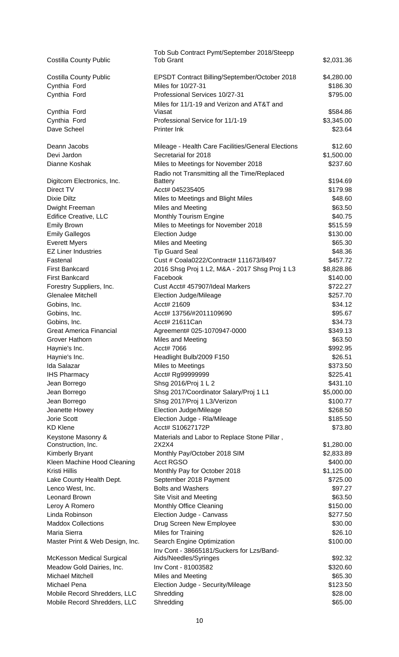|                                         | Tob Sub Contract Pymt/September 2018/Steepp        |            |
|-----------------------------------------|----------------------------------------------------|------------|
| <b>Costilla County Public</b>           | <b>Tob Grant</b>                                   | \$2,031.36 |
|                                         |                                                    |            |
| <b>Costilla County Public</b>           | EPSDT Contract Billing/September/October 2018      | \$4,280.00 |
| Cynthia Ford                            | Miles for 10/27-31                                 | \$186.30   |
| Cynthia Ford                            | Professional Services 10/27-31                     | \$795.00   |
|                                         | Miles for 11/1-19 and Verizon and AT&T and         |            |
| Cynthia Ford                            | Viasat                                             | \$584.86   |
| Cynthia Ford                            | Professional Service for 11/1-19                   | \$3,345.00 |
| Dave Scheel                             | Printer Ink                                        | \$23.64    |
|                                         |                                                    |            |
| Deann Jacobs                            | Mileage - Health Care Facilities/General Elections | \$12.60    |
| Devi Jardon                             | Secretarial for 2018                               | \$1,500.00 |
| Dianne Koshak                           | Miles to Meetings for November 2018                | \$237.60   |
|                                         | Radio not Transmitting all the Time/Replaced       | \$194.69   |
| Digitcom Electronics, Inc.<br>Direct TV | <b>Battery</b><br>Acct# 045235405                  | \$179.98   |
| Dixie Diltz                             |                                                    | \$48.60    |
|                                         | Miles to Meetings and Blight Miles                 | \$63.50    |
| Dwight Freeman                          | Miles and Meeting                                  |            |
| Edifice Creative, LLC                   | Monthly Tourism Engine                             | \$40.75    |
| <b>Emily Brown</b>                      | Miles to Meetings for November 2018                | \$515.59   |
| <b>Emily Gallegos</b>                   | <b>Election Judge</b>                              | \$130.00   |
| <b>Everett Myers</b>                    | Miles and Meeting                                  | \$65.30    |
| <b>EZ Liner Industries</b>              | <b>Tip Guard Seal</b>                              | \$48.36    |
| Fastenal                                | Cust # Coala0222/Contract# 111673/8497             | \$457.72   |
| <b>First Bankcard</b>                   | 2016 Shsg Proj 1 L2, M&A - 2017 Shsg Proj 1 L3     | \$8,828.86 |
| <b>First Bankcard</b>                   | Facebook                                           | \$140.00   |
| Forestry Suppliers, Inc.                | Cust Acct# 457907/Ideal Markers                    | \$722.27   |
| <b>Glenalee Mitchell</b>                | Election Judge/Mileage                             | \$257.70   |
| Gobins, Inc.                            | Acct# 21609                                        | \$34.12    |
| Gobins, Inc.                            | Acct# 13756/#2011109690                            | \$95.67    |
| Gobins, Inc.                            | Acct# 21611Can                                     | \$34.73    |
| <b>Great America Financial</b>          | Agreement# 025-1070947-0000                        | \$349.13   |
| Grover Hathorn                          | Miles and Meeting                                  | \$63.50    |
| Haynie's Inc.                           | Acct# 7066                                         | \$992.95   |
| Haynie's Inc.                           | Headlight Bulb/2009 F150                           | \$26.51    |
| <b>Ida Salazar</b>                      | Miles to Meetings                                  | \$373.50   |
| <b>IHS Pharmacy</b>                     | Acct# Rg99999999                                   | \$225.41   |
| Jean Borrego                            | Shsg 2016/Proj 1 L 2                               | \$431.10   |
| Jean Borrego                            | Shsq 2017/Coordinator Salary/Proj 1 L1             | \$5,000.00 |
| Jean Borrego                            | Shsg 2017/Proj 1 L3/Verizon                        | \$100.77   |
| Jeanette Howey                          | Election Judge/Mileage                             | \$268.50   |
| <b>Jorie Scott</b>                      | Election Judge - Rla/Mileage                       | \$185.50   |
| <b>KD Klene</b>                         | Acct# S10627172P                                   | \$73.80    |
| Keystone Masonry &                      | Materials and Labor to Replace Stone Pillar,       |            |
| Construction, Inc.                      | 2X2X4                                              | \$1,280.00 |
| Kimberly Bryant                         | Monthly Pay/October 2018 SIM                       | \$2,833.89 |
| Kleen Machine Hood Cleaning             | <b>Acct RGSO</b>                                   | \$400.00   |
| Kristi Hillis                           | Monthly Pay for October 2018                       | \$1,125.00 |
| Lake County Health Dept.                | September 2018 Payment                             | \$725.00   |
| Lenco West, Inc.                        | <b>Bolts and Washers</b>                           | \$97.27    |
| Leonard Brown                           | Site Visit and Meeting                             | \$63.50    |
| Leroy A Romero                          | Monthly Office Cleaning                            | \$150.00   |
| Linda Robinson                          | Election Judge - Canvass                           | \$277.50   |
| <b>Maddox Collections</b>               | Drug Screen New Employee                           | \$30.00    |
| Maria Sierra                            | Miles for Training                                 | \$26.10    |
| Master Print & Web Design, Inc.         | Search Engine Optimization                         | \$100.00   |
|                                         | Inv Cont - 38665181/Suckers for Lzs/Band-          |            |
| McKesson Medical Surgical               | Aids/Needles/Syringes                              | \$92.32    |
| Meadow Gold Dairies, Inc.               | Inv Cont - 81003582                                | \$320.60   |
| <b>Michael Mitchell</b>                 | Miles and Meeting                                  | \$65.30    |
| Michael Pena                            | Election Judge - Security/Mileage                  | \$123.50   |
| Mobile Record Shredders, LLC            | Shredding                                          | \$28.00    |
| Mobile Record Shredders, LLC            | Shredding                                          | \$65.00    |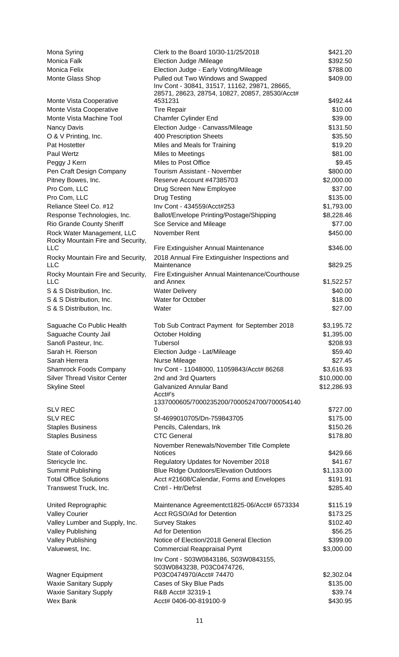| Mona Syring                                                     | Clerk to the Board 10/30-11/25/2018                                                 | \$421.20    |
|-----------------------------------------------------------------|-------------------------------------------------------------------------------------|-------------|
| Monica Falk                                                     | Election Judge /Mileage                                                             | \$392.50    |
| Monica Felix                                                    | Election Judge - Early Voting/Mileage                                               | \$788.00    |
| Monte Glass Shop                                                | Pulled out Two Windows and Swapped<br>Inv Cont - 30841, 31517, 11162, 29871, 28665, | \$409.00    |
|                                                                 | 28571, 28623, 28754, 10827, 20857, 28530/Acct#                                      |             |
| Monte Vista Cooperative                                         | 4531231                                                                             | \$492.44    |
| Monte Vista Cooperative                                         | <b>Tire Repair</b>                                                                  | \$10.00     |
| Monte Vista Machine Tool                                        | Chamfer Cylinder End                                                                | \$39.00     |
| Nancy Davis                                                     | Election Judge - Canvass/Mileage                                                    | \$131.50    |
| O & V Printing, Inc.                                            | 400 Prescription Sheets                                                             | \$35.50     |
| Pat Hostetter                                                   | Miles and Meals for Training                                                        | \$19.20     |
| Paul Wertz                                                      | Miles to Meetings                                                                   | \$81.00     |
| Peggy J Kern                                                    | Miles to Post Office                                                                | \$9.45      |
| Pen Craft Design Company                                        | Tourism Assistant - November                                                        | \$800.00    |
| Pitney Bowes, Inc.                                              | Reserve Account #47385703                                                           | \$2,000.00  |
| Pro Com, LLC                                                    | Drug Screen New Employee                                                            | \$37.00     |
| Pro Com, LLC                                                    | <b>Drug Testing</b>                                                                 | \$135.00    |
| Reliance Steel Co. #12                                          | Inv Cont - 434559/Acct#253                                                          | \$1,793.00  |
| Response Technologies, Inc.                                     | Ballot/Envelope Printing/Postage/Shipping                                           | \$8,228.46  |
| Rio Grande County Sheriff                                       | Sce Service and Mileage                                                             | \$77.00     |
| Rock Water Management, LLC<br>Rocky Mountain Fire and Security, | November Rent                                                                       | \$450.00    |
| LLC                                                             | Fire Extinguisher Annual Maintenance                                                | \$346.00    |
| Rocky Mountain Fire and Security,<br><b>LLC</b>                 | 2018 Annual Fire Extinguisher Inspections and<br>Maintenance                        | \$829.25    |
| Rocky Mountain Fire and Security,                               | Fire Extinguisher Annual Maintenance/Courthouse                                     |             |
| <b>LLC</b>                                                      | and Annex                                                                           | \$1,522.57  |
| S & S Distribution, Inc.                                        | <b>Water Delivery</b>                                                               | \$40.00     |
| S & S Distribution, Inc.                                        | Water for October                                                                   | \$18.00     |
| S & S Distribution, Inc.                                        | Water                                                                               | \$27.00     |
| Saguache Co Public Health                                       | Tob Sub Contract Payment for September 2018                                         | \$3,195.72  |
| Saguache County Jail                                            | October Holding                                                                     | \$1,395.00  |
| Sanofi Pasteur, Inc.                                            | Tubersol                                                                            | \$208.93    |
| Sarah H. Rierson                                                | Election Judge - Lat/Mileage                                                        | \$59.40     |
| Sarah Herrera                                                   | Nurse Mileage                                                                       | \$27.45     |
| <b>Shamrock Foods Company</b>                                   | Inv Cont - 11048000, 11059843/Acct# 86268                                           | \$3,616.93  |
| <b>Silver Thread Visitor Center</b>                             | 2nd and 3rd Quarters                                                                | \$10,000.00 |
| <b>Skyline Steel</b>                                            | <b>Galvanized Annular Band</b>                                                      | \$12,286.93 |
|                                                                 | Acct#'s                                                                             |             |
| <b>SLV REC</b>                                                  | 1337000605/7000235200/7000524700/700054140<br>0                                     | \$727.00    |
| <b>SLV REC</b>                                                  | Sf-4699010705/Dn-759843705                                                          | \$175.00    |
|                                                                 |                                                                                     | \$150.26    |
| <b>Staples Business</b>                                         | Pencils, Calendars, Ink<br><b>CTC General</b>                                       | \$178.80    |
| <b>Staples Business</b>                                         |                                                                                     |             |
| State of Colorado                                               | November Renewals/November Title Complete<br><b>Notices</b>                         | \$429.66    |
| Stericycle Inc.                                                 | Regulatory Updates for November 2018                                                | \$41.67     |
| Summit Publishing                                               | <b>Blue Ridge Outdoors/Elevation Outdoors</b>                                       | \$1,133.00  |
| <b>Total Office Solutions</b>                                   | Acct #21608/Calendar, Forms and Envelopes                                           | \$191.91    |
| Transwest Truck, Inc.                                           | Cntrl - Htr/Defrst                                                                  | \$285.40    |
|                                                                 |                                                                                     |             |
| United Reprographic                                             | Maintenance Agreementct1825-06/Acct# 6573334                                        | \$115.19    |
| <b>Valley Courier</b>                                           | Acct RGSO/Ad for Detention                                                          | \$173.25    |
| Valley Lumber and Supply, Inc.                                  | <b>Survey Stakes</b>                                                                | \$102.40    |
| <b>Valley Publishing</b>                                        | Ad for Detention                                                                    | \$56.25     |
| <b>Valley Publishing</b>                                        | Notice of Election/2018 General Election                                            | \$399.00    |
| Valuewest, Inc.                                                 | <b>Commercial Reappraisal Pymt</b>                                                  | \$3,000.00  |
|                                                                 | Inv Cont - S03W0843186, S03W0843155,                                                |             |
|                                                                 | S03W0843238, P03C0474726,                                                           |             |
| <b>Wagner Equipment</b>                                         | P03C0474970/Acct# 74470                                                             | \$2,302.04  |
| <b>Waxie Sanitary Supply</b>                                    | Cases of Sky Blue Pads                                                              | \$135.00    |
| <b>Waxie Sanitary Supply</b>                                    | R&B Acct# 32319-1                                                                   | \$39.74     |
| <b>Wex Bank</b>                                                 | Acct# 0406-00-819100-9                                                              | \$430.95    |
|                                                                 |                                                                                     |             |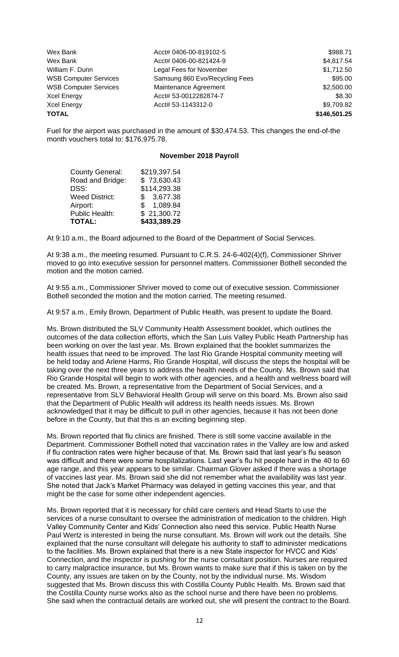| Wex Bank                     | Acct# 0406-00-819102-5         | \$988.71     |
|------------------------------|--------------------------------|--------------|
| Wex Bank                     | Acct# 0406-00-821424-9         | \$4,817.54   |
| William F. Dunn              | Legal Fees for November        | \$1,712.50   |
| <b>WSB Computer Services</b> | Samsung 860 Evo/Recycling Fees | \$95.00      |
| <b>WSB Computer Services</b> | Maintenance Agreement          | \$2,500.00   |
| <b>Xcel Energy</b>           | Acct# 53-0012282874-7          | \$8.30       |
| <b>Xcel Energy</b>           | Acct# 53-1143312-0             | \$9,709.82   |
| <b>TOTAL</b>                 |                                | \$146,501.25 |

Fuel for the airport was purchased in the amount of \$30,474.53. This changes the end-of-the month vouchers total to: \$176,975.78.

#### **November 2018 Payroll**

| <b>TOTAL:</b>          | \$433,389.29 |
|------------------------|--------------|
| Public Health:         | \$21,300.72  |
| Airport:               | \$1,089.84   |
| <b>Weed District:</b>  | \$3,677.38   |
| DSS:                   | \$114,293.38 |
| Road and Bridge:       | \$73,630.43  |
| <b>County General:</b> | \$219,397.54 |

At 9:10 a.m., the Board adjourned to the Board of the Department of Social Services.

At 9:38 a.m., the meeting resumed. Pursuant to C.R.S. 24-6-402(4)(f), Commissioner Shriver moved to go into executive session for personnel matters. Commissioner Bothell seconded the motion and the motion carried.

At 9:55 a.m., Commissioner Shriver moved to come out of executive session. Commissioner Bothell seconded the motion and the motion carried. The meeting resumed.

At 9:57 a.m., Emily Brown, Department of Public Health, was present to update the Board.

Ms. Brown distributed the SLV Community Health Assessment booklet, which outlines the outcomes of the data collection efforts, which the San Luis Valley Public Heath Partnership has been working on over the last year. Ms. Brown explained that the booklet summarizes the health issues that need to be improved. The last Rio Grande Hospital community meeting will be held today and Arlene Harms, Rio Grande Hospital, will discuss the steps the hospital will be taking over the next three years to address the health needs of the County. Ms. Brown said that Rio Grande Hospital will begin to work with other agencies, and a health and wellness board will be created. Ms. Brown, a representative from the Department of Social Services, and a representative from SLV Behavioral Health Group will serve on this board. Ms. Brown also said that the Department of Public Health will address its health needs issues. Ms. Brown acknowledged that it may be difficult to pull in other agencies, because it has not been done before in the County, but that this is an exciting beginning step.

Ms. Brown reported that flu clinics are finished. There is still some vaccine available in the Department. Commissioner Bothell noted that vaccination rates in the Valley are low and asked if flu contraction rates were higher because of that. Ms. Brown said that last year's flu season was difficult and there were some hospitalizations. Last year's flu hit people hard in the 40 to 60 age range, and this year appears to be similar. Chairman Glover asked if there was a shortage of vaccines last year. Ms. Brown said she did not remember what the availability was last year. She noted that Jack's Market Pharmacy was delayed in getting vaccines this year, and that might be the case for some other independent agencies.

Ms. Brown reported that it is necessary for child care centers and Head Starts to use the services of a nurse consultant to oversee the administration of medication to the children. High Valley Community Center and Kids' Connection also need this service. Public Health Nurse Paul Wertz is interested in being the nurse consultant. Ms. Brown will work out the details. She explained that the nurse consultant will delegate his authority to staff to administer medications to the facilities. Ms. Brown explained that there is a new State inspector for HVCC and Kids' Connection, and the inspector is pushing for the nurse consultant position. Nurses are required to carry malpractice insurance, but Ms. Brown wants to make sure that if this is taken on by the County, any issues are taken on by the County, not by the individual nurse. Ms. Wisdom suggested that Ms. Brown discuss this with Costilla County Public Health. Ms. Brown said that the Costilla County nurse works also as the school nurse and there have been no problems. She said when the contractual details are worked out, she will present the contract to the Board.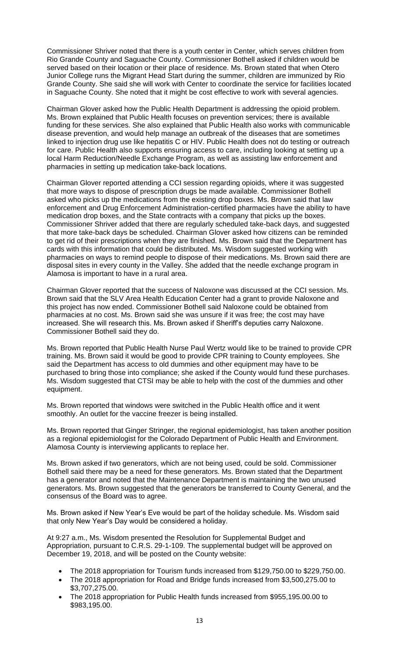Commissioner Shriver noted that there is a youth center in Center, which serves children from Rio Grande County and Saguache County. Commissioner Bothell asked if children would be served based on their location or their place of residence. Ms. Brown stated that when Otero Junior College runs the Migrant Head Start during the summer, children are immunized by Rio Grande County. She said she will work with Center to coordinate the service for facilities located in Saguache County. She noted that it might be cost effective to work with several agencies.

Chairman Glover asked how the Public Health Department is addressing the opioid problem. Ms. Brown explained that Public Health focuses on prevention services; there is available funding for these services. She also explained that Public Health also works with communicable disease prevention, and would help manage an outbreak of the diseases that are sometimes linked to injection drug use like hepatitis C or HIV. Public Health does not do testing or outreach for care. Public Health also supports ensuring access to care, including looking at setting up a local Harm Reduction/Needle Exchange Program, as well as assisting law enforcement and pharmacies in setting up medication take-back locations.

Chairman Glover reported attending a CCI session regarding opioids, where it was suggested that more ways to dispose of prescription drugs be made available. Commissioner Bothell asked who picks up the medications from the existing drop boxes. Ms. Brown said that law enforcement and Drug Enforcement Administration-certified pharmacies have the ability to have medication drop boxes, and the State contracts with a company that picks up the boxes. Commissioner Shriver added that there are regularly scheduled take-back days, and suggested that more take-back days be scheduled. Chairman Glover asked how citizens can be reminded to get rid of their prescriptions when they are finished. Ms. Brown said that the Department has cards with this information that could be distributed. Ms. Wisdom suggested working with pharmacies on ways to remind people to dispose of their medications. Ms. Brown said there are disposal sites in every county in the Valley. She added that the needle exchange program in Alamosa is important to have in a rural area.

Chairman Glover reported that the success of Naloxone was discussed at the CCI session. Ms. Brown said that the SLV Area Health Education Center had a grant to provide Naloxone and this project has now ended. Commissioner Bothell said Naloxone could be obtained from pharmacies at no cost. Ms. Brown said she was unsure if it was free; the cost may have increased. She will research this. Ms. Brown asked if Sheriff's deputies carry Naloxone. Commissioner Bothell said they do.

Ms. Brown reported that Public Health Nurse Paul Wertz would like to be trained to provide CPR training. Ms. Brown said it would be good to provide CPR training to County employees. She said the Department has access to old dummies and other equipment may have to be purchased to bring those into compliance; she asked if the County would fund these purchases. Ms. Wisdom suggested that CTSI may be able to help with the cost of the dummies and other equipment.

Ms. Brown reported that windows were switched in the Public Health office and it went smoothly. An outlet for the vaccine freezer is being installed.

Ms. Brown reported that Ginger Stringer, the regional epidemiologist, has taken another position as a regional epidemiologist for the Colorado Department of Public Health and Environment. Alamosa County is interviewing applicants to replace her.

Ms. Brown asked if two generators, which are not being used, could be sold. Commissioner Bothell said there may be a need for these generators. Ms. Brown stated that the Department has a generator and noted that the Maintenance Department is maintaining the two unused generators. Ms. Brown suggested that the generators be transferred to County General, and the consensus of the Board was to agree.

Ms. Brown asked if New Year's Eve would be part of the holiday schedule. Ms. Wisdom said that only New Year's Day would be considered a holiday.

At 9:27 a.m., Ms. Wisdom presented the Resolution for Supplemental Budget and Appropriation, pursuant to C.R.S. 29-1-109. The supplemental budget will be approved on December 19, 2018, and will be posted on the County website:

- The 2018 appropriation for Tourism funds increased from \$129,750.00 to \$229,750.00.
- The 2018 appropriation for Road and Bridge funds increased from \$3,500,275.00 to \$3,707,275.00.
- The 2018 appropriation for Public Health funds increased from \$955,195.00.00 to \$983,195.00.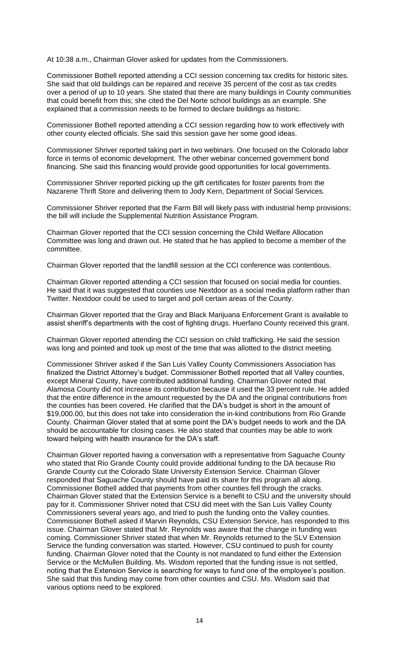At 10:38 a.m., Chairman Glover asked for updates from the Commissioners.

Commissioner Bothell reported attending a CCI session concerning tax credits for historic sites. She said that old buildings can be repaired and receive 35 percent of the cost as tax credits over a period of up to 10 years. She stated that there are many buildings in County communities that could benefit from this; she cited the Del Norte school buildings as an example. She explained that a commission needs to be formed to declare buildings as historic.

Commissioner Bothell reported attending a CCI session regarding how to work effectively with other county elected officials. She said this session gave her some good ideas.

Commissioner Shriver reported taking part in two webinars. One focused on the Colorado labor force in terms of economic development. The other webinar concerned government bond financing. She said this financing would provide good opportunities for local governments.

Commissioner Shriver reported picking up the gift certificates for foster parents from the Nazarene Thrift Store and delivering them to Jody Kern, Department of Social Services.

Commissioner Shriver reported that the Farm Bill will likely pass with industrial hemp provisions; the bill will include the Supplemental Nutrition Assistance Program.

Chairman Glover reported that the CCI session concerning the Child Welfare Allocation Committee was long and drawn out. He stated that he has applied to become a member of the committee.

Chairman Glover reported that the landfill session at the CCI conference was contentious.

Chairman Glover reported attending a CCI session that focused on social media for counties. He said that it was suggested that counties use Nextdoor as a social media platform rather than Twitter. Nextdoor could be used to target and poll certain areas of the County.

Chairman Glover reported that the Gray and Black Marijuana Enforcement Grant is available to assist sheriff's departments with the cost of fighting drugs. Huerfano County received this grant.

Chairman Glover reported attending the CCI session on child trafficking. He said the session was long and pointed and took up most of the time that was allotted to the district meeting.

Commissioner Shriver asked if the San Luis Valley County Commissioners Association has finalized the District Attorney's budget. Commissioner Bothell reported that all Valley counties, except Mineral County, have contributed additional funding. Chairman Glover noted that Alamosa County did not increase its contribution because it used the 33 percent rule. He added that the entire difference in the amount requested by the DA and the original contributions from the counties has been covered. He clarified that the DA's budget is short in the amount of \$19,000.00, but this does not take into consideration the in-kind contributions from Rio Grande County. Chairman Glover stated that at some point the DA's budget needs to work and the DA should be accountable for closing cases. He also stated that counties may be able to work toward helping with health insurance for the DA's staff.

Chairman Glover reported having a conversation with a representative from Saguache County who stated that Rio Grande County could provide additional funding to the DA because Rio Grande County cut the Colorado State University Extension Service. Chairman Glover responded that Saguache County should have paid its share for this program all along. Commissioner Bothell added that payments from other counties fell through the cracks. Chairman Glover stated that the Extension Service is a benefit to CSU and the university should pay for it. Commissioner Shriver noted that CSU did meet with the San Luis Valley County Commissioners several years ago, and tried to push the funding onto the Valley counties. Commissioner Bothell asked if Marvin Reynolds, CSU Extension Service, has responded to this issue. Chairman Glover stated that Mr. Reynolds was aware that the change in funding was coming. Commissioner Shriver stated that when Mr. Reynolds returned to the SLV Extension Service the funding conversation was started. However, CSU continued to push for county funding. Chairman Glover noted that the County is not mandated to fund either the Extension Service or the McMullen Building. Ms. Wisdom reported that the funding issue is not settled, noting that the Extension Service is searching for ways to fund one of the employee's position. She said that this funding may come from other counties and CSU. Ms. Wisdom said that various options need to be explored.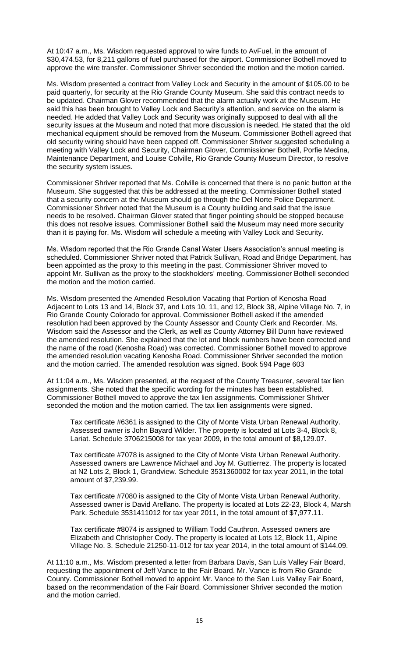At 10:47 a.m., Ms. Wisdom requested approval to wire funds to AvFuel, in the amount of \$30,474.53, for 8,211 gallons of fuel purchased for the airport. Commissioner Bothell moved to approve the wire transfer. Commissioner Shriver seconded the motion and the motion carried.

Ms. Wisdom presented a contract from Valley Lock and Security in the amount of \$105.00 to be paid quarterly, for security at the Rio Grande County Museum. She said this contract needs to be updated. Chairman Glover recommended that the alarm actually work at the Museum. He said this has been brought to Valley Lock and Security's attention, and service on the alarm is needed. He added that Valley Lock and Security was originally supposed to deal with all the security issues at the Museum and noted that more discussion is needed. He stated that the old mechanical equipment should be removed from the Museum. Commissioner Bothell agreed that old security wiring should have been capped off. Commissioner Shriver suggested scheduling a meeting with Valley Lock and Security, Chairman Glover, Commissioner Bothell, Porfie Medina, Maintenance Department, and Louise Colville, Rio Grande County Museum Director, to resolve the security system issues.

Commissioner Shriver reported that Ms. Colville is concerned that there is no panic button at the Museum. She suggested that this be addressed at the meeting. Commissioner Bothell stated that a security concern at the Museum should go through the Del Norte Police Department. Commissioner Shriver noted that the Museum is a County building and said that the issue needs to be resolved. Chairman Glover stated that finger pointing should be stopped because this does not resolve issues. Commissioner Bothell said the Museum may need more security than it is paying for. Ms. Wisdom will schedule a meeting with Valley Lock and Security.

Ms. Wisdom reported that the Rio Grande Canal Water Users Association's annual meeting is scheduled. Commissioner Shriver noted that Patrick Sullivan, Road and Bridge Department, has been appointed as the proxy to this meeting in the past. Commissioner Shriver moved to appoint Mr. Sullivan as the proxy to the stockholders' meeting. Commissioner Bothell seconded the motion and the motion carried.

Ms. Wisdom presented the Amended Resolution Vacating that Portion of Kenosha Road Adjacent to Lots 13 and 14, Block 37, and Lots 10, 11, and 12, Block 38, Alpine Village No. 7, in Rio Grande County Colorado for approval. Commissioner Bothell asked if the amended resolution had been approved by the County Assessor and County Clerk and Recorder. Ms. Wisdom said the Assessor and the Clerk, as well as County Attorney Bill Dunn have reviewed the amended resolution. She explained that the lot and block numbers have been corrected and the name of the road (Kenosha Road) was corrected. Commissioner Bothell moved to approve the amended resolution vacating Kenosha Road. Commissioner Shriver seconded the motion and the motion carried. The amended resolution was signed. Book 594 Page 603

At 11:04 a.m., Ms. Wisdom presented, at the request of the County Treasurer, several tax lien assignments. She noted that the specific wording for the minutes has been established. Commissioner Bothell moved to approve the tax lien assignments. Commissioner Shriver seconded the motion and the motion carried. The tax lien assignments were signed.

Tax certificate #6361 is assigned to the City of Monte Vista Urban Renewal Authority. Assessed owner is John Bayard Wilder. The property is located at Lots 3-4, Block 8, Lariat. Schedule 3706215008 for tax year 2009, in the total amount of \$8,129.07.

Tax certificate #7078 is assigned to the City of Monte Vista Urban Renewal Authority. Assessed owners are Lawrence Michael and Joy M. Guttierrez. The property is located at N2 Lots 2, Block 1, Grandview. Schedule 3531360002 for tax year 2011, in the total amount of \$7,239.99.

Tax certificate #7080 is assigned to the City of Monte Vista Urban Renewal Authority. Assessed owner is David Arellano. The property is located at Lots 22-23, Block 4, Marsh Park. Schedule 3531411012 for tax year 2011, in the total amount of \$7,977.11.

Tax certificate #8074 is assigned to William Todd Cauthron. Assessed owners are Elizabeth and Christopher Cody. The property is located at Lots 12, Block 11, Alpine Village No. 3. Schedule 21250-11-012 for tax year 2014, in the total amount of \$144.09.

At 11:10 a.m., Ms. Wisdom presented a letter from Barbara Davis, San Luis Valley Fair Board, requesting the appointment of Jeff Vance to the Fair Board. Mr. Vance is from Rio Grande County. Commissioner Bothell moved to appoint Mr. Vance to the San Luis Valley Fair Board, based on the recommendation of the Fair Board. Commissioner Shriver seconded the motion and the motion carried.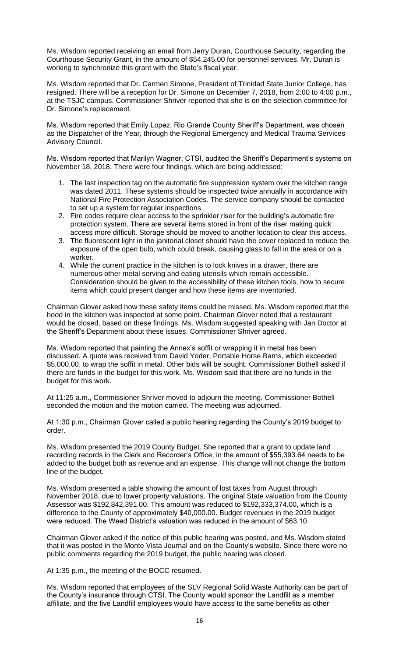Ms. Wisdom reported receiving an email from Jerry Duran, Courthouse Security, regarding the Courthouse Security Grant, in the amount of \$54,245.00 for personnel services. Mr. Duran is working to synchronize this grant with the State's fiscal year.

Ms. Wisdom reported that Dr. Carmen Simone, President of Trinidad State Junior College, has resigned. There will be a reception for Dr. Simone on December 7, 2018, from 2:00 to 4:00 p.m., at the TSJC campus. Commissioner Shriver reported that she is on the selection committee for Dr. Simone's replacement.

Ms. Wisdom reported that Emily Lopez, Rio Grande County Sheriff's Department, was chosen as the Dispatcher of the Year, through the Regional Emergency and Medical Trauma Services Advisory Council.

Ms. Wisdom reported that Marilyn Wagner, CTSI, audited the Sheriff's Department's systems on November 18, 2018. There were four findings, which are being addressed:

- 1. The last inspection tag on the automatic fire suppression system over the kitchen range was dated 2011. These systems should be inspected twice annually in accordance with National Fire Protection Association Codes. The service company should be contacted to set up a system for regular inspections.
- 2. Fire codes require clear access to the sprinkler riser for the building's automatic fire protection system. There are several items stored in front of the riser making quick access more difficult. Storage should be moved to another location to clear this access.
- 3. The fluorescent light in the janitorial closet should have the cover replaced to reduce the exposure of the open bulb, which could break, causing glass to fall in the area or on a worker.
- 4. While the current practice in the kitchen is to lock knives in a drawer, there are numerous other metal serving and eating utensils which remain accessible. Consideration should be given to the accessibility of these kitchen tools, how to secure items which could present danger and how these items are inventoried.

Chairman Glover asked how these safety items could be missed. Ms. Wisdom reported that the hood in the kitchen was inspected at some point. Chairman Glover noted that a restaurant would be closed, based on these findings. Ms. Wisdom suggested speaking with Jan Doctor at the Sheriff's Department about these issues. Commissioner Shriver agreed.

Ms. Wisdom reported that painting the Annex's soffit or wrapping it in metal has been discussed. A quote was received from David Yoder, Portable Horse Barns, which exceeded \$5,000.00, to wrap the soffit in metal. Other bids will be sought. Commissioner Bothell asked if there are funds in the budget for this work. Ms. Wisdom said that there are no funds in the budget for this work.

At 11:25 a.m., Commissioner Shriver moved to adjourn the meeting. Commissioner Bothell seconded the motion and the motion carried. The meeting was adjourned.

At 1:30 p.m., Chairman Glover called a public hearing regarding the County's 2019 budget to order.

Ms. Wisdom presented the 2019 County Budget. She reported that a grant to update land recording records in the Clerk and Recorder's Office, in the amount of \$55,393.64 needs to be added to the budget both as revenue and an expense. This change will not change the bottom line of the budget.

Ms. Wisdom presented a table showing the amount of lost taxes from August through November 2018, due to lower property valuations. The original State valuation from the County Assessor was \$192,842,391.00. This amount was reduced to \$192,333,374.00, which is a difference to the County of approximately \$40,000.00. Budget revenues in the 2019 budget were reduced. The Weed District's valuation was reduced in the amount of \$63.10.

Chairman Glover asked if the notice of this public hearing was posted, and Ms. Wisdom stated that it was posted in the Monte Vista Journal and on the County's website. Since there were no public comments regarding the 2019 budget, the public hearing was closed.

At 1:35 p.m., the meeting of the BOCC resumed.

Ms. Wisdom reported that employees of the SLV Regional Solid Waste Authority can be part of the County's insurance through CTSI. The County would sponsor the Landfill as a member affiliate, and the five Landfill employees would have access to the same benefits as other